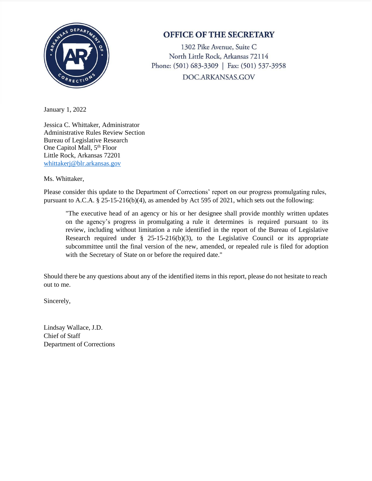

## **OFFICE OF THE SECRETARY**

1302 Pike Avenue, Suite C North Little Rock, Arkansas 72114 Phone: (501) 683-3309 | Fax: (501) 537-3958 DOC.ARKANSAS.GOV

January 1, 2022

Jessica C. Whittaker, Administrator Administrative Rules Review Section Bureau of Legislative Research One Capitol Mall, 5<sup>th</sup> Floor Little Rock, Arkansas 72201 [whittakerj@blr.arkansas.gov](mailto:whittakerj@blr.arkansas.gov)

Ms. Whittaker,

Please consider this update to the Department of Corrections' report on our progress promulgating rules, pursuant to A.C.A. § 25-15-216(b)(4), as amended by Act 595 of 2021, which sets out the following:

"The executive head of an agency or his or her designee shall provide monthly written updates on the agency's progress in promulgating a rule it determines is required pursuant to its review, including without limitation a rule identified in the report of the Bureau of Legislative Research required under  $\S$  25-15-216(b)(3), to the Legislative Council or its appropriate subcommittee until the final version of the new, amended, or repealed rule is filed for adoption with the Secretary of State on or before the required date."

Should there be any questions about any of the identified items in this report, please do not hesitate to reach out to me.

Sincerely,

Lindsay Wallace, J.D. Chief of Staff Department of Corrections